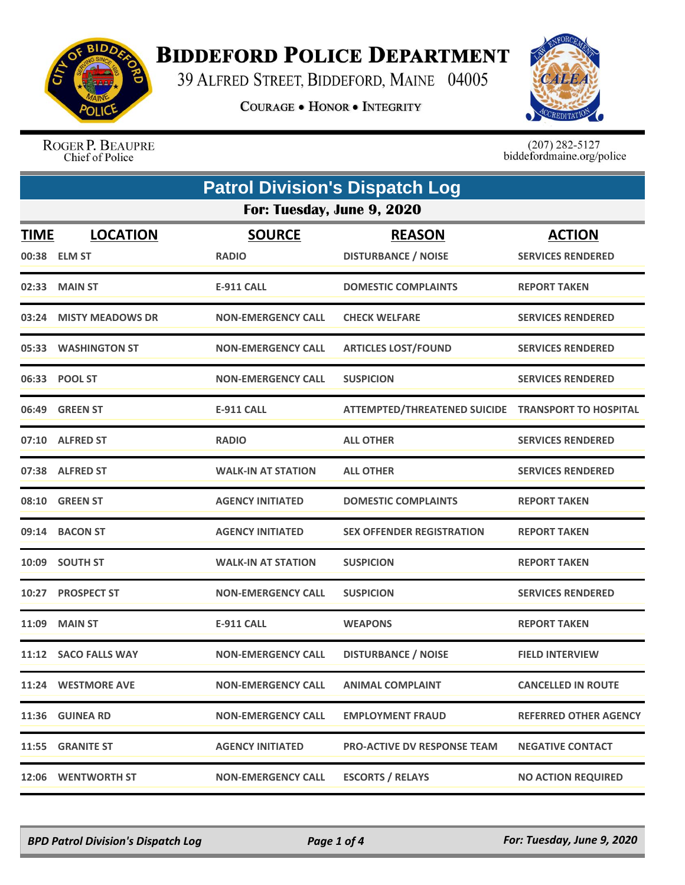

## **BIDDEFORD POLICE DEPARTMENT**

39 ALFRED STREET, BIDDEFORD, MAINE 04005

**COURAGE . HONOR . INTEGRITY** 



ROGER P. BEAUPRE Chief of Police

 $(207)$  282-5127<br>biddefordmaine.org/police

| <b>Patrol Division's Dispatch Log</b> |                                  |                               |                                                    |                                           |
|---------------------------------------|----------------------------------|-------------------------------|----------------------------------------------------|-------------------------------------------|
| For: Tuesday, June 9, 2020            |                                  |                               |                                                    |                                           |
| <b>TIME</b><br>00:38                  | <b>LOCATION</b><br><b>ELM ST</b> | <b>SOURCE</b><br><b>RADIO</b> | <b>REASON</b><br><b>DISTURBANCE / NOISE</b>        | <b>ACTION</b><br><b>SERVICES RENDERED</b> |
| 02:33                                 | <b>MAIN ST</b>                   | <b>E-911 CALL</b>             | <b>DOMESTIC COMPLAINTS</b>                         | <b>REPORT TAKEN</b>                       |
| 03:24                                 | <b>MISTY MEADOWS DR</b>          | <b>NON-EMERGENCY CALL</b>     | <b>CHECK WELFARE</b>                               | <b>SERVICES RENDERED</b>                  |
|                                       | 05:33 WASHINGTON ST              | <b>NON-EMERGENCY CALL</b>     | <b>ARTICLES LOST/FOUND</b>                         | <b>SERVICES RENDERED</b>                  |
|                                       | 06:33 POOL ST                    | <b>NON-EMERGENCY CALL</b>     | <b>SUSPICION</b>                                   | <b>SERVICES RENDERED</b>                  |
|                                       | 06:49 GREEN ST                   | <b>E-911 CALL</b>             | ATTEMPTED/THREATENED SUICIDE TRANSPORT TO HOSPITAL |                                           |
|                                       | 07:10 ALFRED ST                  | <b>RADIO</b>                  | <b>ALL OTHER</b>                                   | <b>SERVICES RENDERED</b>                  |
| 07:38                                 | <b>ALFRED ST</b>                 | <b>WALK-IN AT STATION</b>     | <b>ALL OTHER</b>                                   | <b>SERVICES RENDERED</b>                  |
|                                       | 08:10 GREEN ST                   | <b>AGENCY INITIATED</b>       | <b>DOMESTIC COMPLAINTS</b>                         | <b>REPORT TAKEN</b>                       |
| 09:14                                 | <b>BACON ST</b>                  | <b>AGENCY INITIATED</b>       | <b>SEX OFFENDER REGISTRATION</b>                   | <b>REPORT TAKEN</b>                       |
|                                       | 10:09 SOUTH ST                   | <b>WALK-IN AT STATION</b>     | <b>SUSPICION</b>                                   | <b>REPORT TAKEN</b>                       |
| 10:27                                 | <b>PROSPECT ST</b>               | <b>NON-EMERGENCY CALL</b>     | <b>SUSPICION</b>                                   | <b>SERVICES RENDERED</b>                  |
| 11:09                                 | <b>MAIN ST</b>                   | <b>E-911 CALL</b>             | <b>WEAPONS</b>                                     | <b>REPORT TAKEN</b>                       |
|                                       | 11:12 SACO FALLS WAY             | <b>NON-EMERGENCY CALL</b>     | <b>DISTURBANCE / NOISE</b>                         | <b>FIELD INTERVIEW</b>                    |
|                                       | 11:24 WESTMORE AVE               | <b>NON-EMERGENCY CALL</b>     | <b>ANIMAL COMPLAINT</b>                            | <b>CANCELLED IN ROUTE</b>                 |
|                                       | 11:36 GUINEA RD                  | <b>NON-EMERGENCY CALL</b>     | <b>EMPLOYMENT FRAUD</b>                            | <b>REFERRED OTHER AGENCY</b>              |
|                                       | 11:55 GRANITE ST                 | <b>AGENCY INITIATED</b>       | <b>PRO-ACTIVE DV RESPONSE TEAM</b>                 | <b>NEGATIVE CONTACT</b>                   |
|                                       | 12:06 WENTWORTH ST               | <b>NON-EMERGENCY CALL</b>     | <b>ESCORTS / RELAYS</b>                            | <b>NO ACTION REQUIRED</b>                 |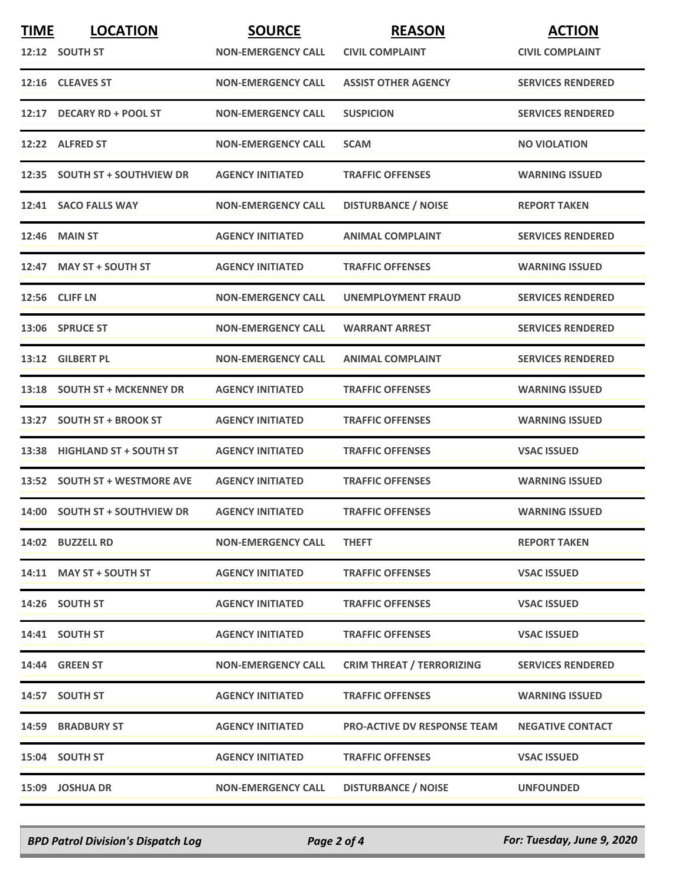| <b>TIME</b> | <b>LOCATION</b>               | <b>SOURCE</b>             | <b>REASON</b>                      | <b>ACTION</b>            |
|-------------|-------------------------------|---------------------------|------------------------------------|--------------------------|
|             | 12:12 SOUTH ST                | <b>NON-EMERGENCY CALL</b> | <b>CIVIL COMPLAINT</b>             | <b>CIVIL COMPLAINT</b>   |
|             | 12:16 CLEAVES ST              | <b>NON-EMERGENCY CALL</b> | <b>ASSIST OTHER AGENCY</b>         | <b>SERVICES RENDERED</b> |
| 12:17       | <b>DECARY RD + POOL ST</b>    | <b>NON-EMERGENCY CALL</b> | <b>SUSPICION</b>                   | <b>SERVICES RENDERED</b> |
|             | 12:22 ALFRED ST               | <b>NON-EMERGENCY CALL</b> | <b>SCAM</b>                        | <b>NO VIOLATION</b>      |
|             | 12:35 SOUTH ST + SOUTHVIEW DR | <b>AGENCY INITIATED</b>   | <b>TRAFFIC OFFENSES</b>            | <b>WARNING ISSUED</b>    |
|             | 12:41 SACO FALLS WAY          | <b>NON-EMERGENCY CALL</b> | <b>DISTURBANCE / NOISE</b>         | <b>REPORT TAKEN</b>      |
| 12:46       | <b>MAIN ST</b>                | <b>AGENCY INITIATED</b>   | <b>ANIMAL COMPLAINT</b>            | <b>SERVICES RENDERED</b> |
|             | 12:47 MAY ST + SOUTH ST       | <b>AGENCY INITIATED</b>   | <b>TRAFFIC OFFENSES</b>            | <b>WARNING ISSUED</b>    |
|             | 12:56 CLIFF LN                | <b>NON-EMERGENCY CALL</b> | UNEMPLOYMENT FRAUD                 | <b>SERVICES RENDERED</b> |
|             | 13:06 SPRUCE ST               | <b>NON-EMERGENCY CALL</b> | <b>WARRANT ARREST</b>              | <b>SERVICES RENDERED</b> |
|             | 13:12 GILBERT PL              | <b>NON-EMERGENCY CALL</b> | <b>ANIMAL COMPLAINT</b>            | <b>SERVICES RENDERED</b> |
| 13:18       | <b>SOUTH ST + MCKENNEY DR</b> | <b>AGENCY INITIATED</b>   | <b>TRAFFIC OFFENSES</b>            | <b>WARNING ISSUED</b>    |
|             | 13:27 SOUTH ST + BROOK ST     | <b>AGENCY INITIATED</b>   | <b>TRAFFIC OFFENSES</b>            | <b>WARNING ISSUED</b>    |
|             | 13:38 HIGHLAND ST + SOUTH ST  | <b>AGENCY INITIATED</b>   | <b>TRAFFIC OFFENSES</b>            | <b>VSAC ISSUED</b>       |
|             | 13:52 SOUTH ST + WESTMORE AVE | <b>AGENCY INITIATED</b>   | <b>TRAFFIC OFFENSES</b>            | <b>WARNING ISSUED</b>    |
|             | 14:00 SOUTH ST + SOUTHVIEW DR | <b>AGENCY INITIATED</b>   | <b>TRAFFIC OFFENSES</b>            | <b>WARNING ISSUED</b>    |
|             | 14:02 BUZZELL RD              | <b>NON-EMERGENCY CALL</b> | <b>THEFT</b>                       | <b>REPORT TAKEN</b>      |
|             | 14:11 MAY ST + SOUTH ST       | <b>AGENCY INITIATED</b>   | <b>TRAFFIC OFFENSES</b>            | <b>VSAC ISSUED</b>       |
|             | 14:26 SOUTH ST                | <b>AGENCY INITIATED</b>   | <b>TRAFFIC OFFENSES</b>            | <b>VSAC ISSUED</b>       |
|             | 14:41 SOUTH ST                | <b>AGENCY INITIATED</b>   | <b>TRAFFIC OFFENSES</b>            | <b>VSAC ISSUED</b>       |
|             | 14:44 GREEN ST                | <b>NON-EMERGENCY CALL</b> | <b>CRIM THREAT / TERRORIZING</b>   | <b>SERVICES RENDERED</b> |
|             | 14:57 SOUTH ST                | <b>AGENCY INITIATED</b>   | <b>TRAFFIC OFFENSES</b>            | <b>WARNING ISSUED</b>    |
|             | <b>14:59 BRADBURY ST</b>      | <b>AGENCY INITIATED</b>   | <b>PRO-ACTIVE DV RESPONSE TEAM</b> | <b>NEGATIVE CONTACT</b>  |
|             | 15:04 SOUTH ST                | <b>AGENCY INITIATED</b>   | <b>TRAFFIC OFFENSES</b>            | <b>VSAC ISSUED</b>       |
|             | 15:09 JOSHUA DR               | <b>NON-EMERGENCY CALL</b> | <b>DISTURBANCE / NOISE</b>         | <b>UNFOUNDED</b>         |

*BPD Patrol Division's Dispatch Log Page 2 of 4 For: Tuesday, June 9, 2020*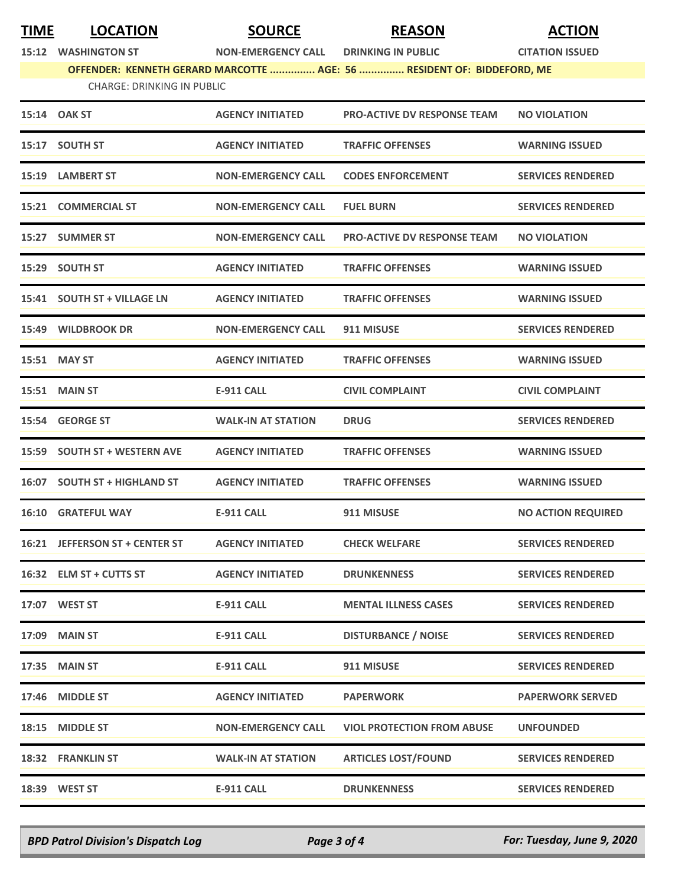## **TIME LOCATION SOURCE REASON ACTION**

**15:12 WASHINGTON ST NON-EMERGENCY CALL DRINKING IN PUBLIC CITATION ISSUED**

**OFFENDER: KENNETH GERARD MARCOTTE ............... AGE: 56 ............... RESIDENT OF: BIDDEFORD, ME**

CHARGE: DRINKING IN PUBLIC

|       | 15:14 OAK ST                   | <b>AGENCY INITIATED</b>   | <b>PRO-ACTIVE DV RESPONSE TEAM</b> | <b>NO VIOLATION</b>       |
|-------|--------------------------------|---------------------------|------------------------------------|---------------------------|
|       | 15:17 SOUTH ST                 | <b>AGENCY INITIATED</b>   | <b>TRAFFIC OFFENSES</b>            | <b>WARNING ISSUED</b>     |
|       | 15:19 LAMBERT ST               | <b>NON-EMERGENCY CALL</b> | <b>CODES ENFORCEMENT</b>           | <b>SERVICES RENDERED</b>  |
|       | 15:21 COMMERCIAL ST            | <b>NON-EMERGENCY CALL</b> | <b>FUEL BURN</b>                   | <b>SERVICES RENDERED</b>  |
|       | 15:27 SUMMER ST                | <b>NON-EMERGENCY CALL</b> | <b>PRO-ACTIVE DV RESPONSE TEAM</b> | <b>NO VIOLATION</b>       |
| 15:29 | <b>SOUTH ST</b>                | <b>AGENCY INITIATED</b>   | <b>TRAFFIC OFFENSES</b>            | <b>WARNING ISSUED</b>     |
|       | 15:41 SOUTH ST + VILLAGE LN    | <b>AGENCY INITIATED</b>   | <b>TRAFFIC OFFENSES</b>            | <b>WARNING ISSUED</b>     |
|       | 15:49 WILDBROOK DR             | <b>NON-EMERGENCY CALL</b> | 911 MISUSE                         | <b>SERVICES RENDERED</b>  |
|       | 15:51 MAY ST                   | <b>AGENCY INITIATED</b>   | <b>TRAFFIC OFFENSES</b>            | <b>WARNING ISSUED</b>     |
|       | 15:51 MAIN ST                  | <b>E-911 CALL</b>         | <b>CIVIL COMPLAINT</b>             | <b>CIVIL COMPLAINT</b>    |
|       | 15:54 GEORGE ST                | <b>WALK-IN AT STATION</b> | <b>DRUG</b>                        | <b>SERVICES RENDERED</b>  |
|       | 15:59 SOUTH ST + WESTERN AVE   | <b>AGENCY INITIATED</b>   | <b>TRAFFIC OFFENSES</b>            | <b>WARNING ISSUED</b>     |
|       | 16:07 SOUTH ST + HIGHLAND ST   | <b>AGENCY INITIATED</b>   | <b>TRAFFIC OFFENSES</b>            | <b>WARNING ISSUED</b>     |
|       | <b>16:10 GRATEFUL WAY</b>      | E-911 CALL                | 911 MISUSE                         | <b>NO ACTION REQUIRED</b> |
|       | 16:21 JEFFERSON ST + CENTER ST | <b>AGENCY INITIATED</b>   | <b>CHECK WELFARE</b>               | <b>SERVICES RENDERED</b>  |
|       | 16:32 ELM ST + CUTTS ST        | <b>AGENCY INITIATED</b>   | <b>DRUNKENNESS</b>                 | <b>SERVICES RENDERED</b>  |
|       | 17:07 WEST ST                  | <b>E-911 CALL</b>         | <b>MENTAL ILLNESS CASES</b>        | <b>SERVICES RENDERED</b>  |
|       | 17:09 MAIN ST                  | <b>E-911 CALL</b>         | <b>DISTURBANCE / NOISE</b>         | <b>SERVICES RENDERED</b>  |
| 17:35 | <b>MAIN ST</b>                 | <b>E-911 CALL</b>         | 911 MISUSE                         | <b>SERVICES RENDERED</b>  |
| 17:46 | <b>MIDDLE ST</b>               | <b>AGENCY INITIATED</b>   | <b>PAPERWORK</b>                   | <b>PAPERWORK SERVED</b>   |
| 18:15 | <b>MIDDLE ST</b>               | <b>NON-EMERGENCY CALL</b> | <b>VIOL PROTECTION FROM ABUSE</b>  | <b>UNFOUNDED</b>          |
|       | 18:32 FRANKLIN ST              | WALK-IN AT STATION        | <b>ARTICLES LOST/FOUND</b>         | <b>SERVICES RENDERED</b>  |
|       | 18:39 WEST ST                  | <b>E-911 CALL</b>         | <b>DRUNKENNESS</b>                 | <b>SERVICES RENDERED</b>  |
|       |                                |                           |                                    |                           |

*BPD Patrol Division's Dispatch Log Page 3 of 4 For: Tuesday, June 9, 2020*